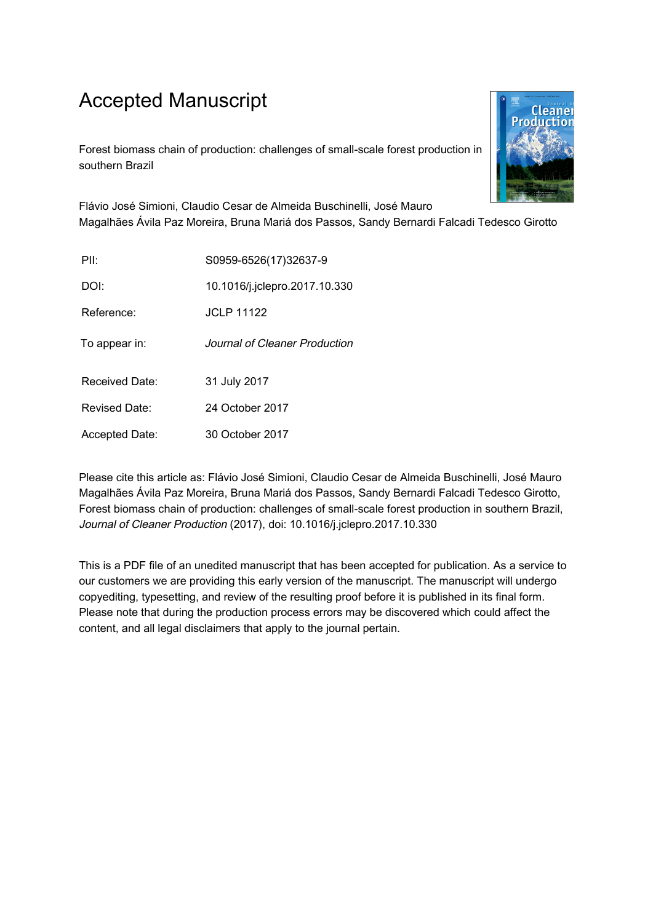## Accepted Manuscript

Forest biomass chain of production: challenges of small-scale forest production in southern Brazil



Flávio José Simioni, Claudio Cesar de Almeida Buschinelli, José Mauro Magalhães Ávila Paz Moreira, Bruna Mariá dos Passos, Sandy Bernardi Falcadi Tedesco Girotto

| PII <sup>-</sup> | S0959-6526(17)32637-9         |
|------------------|-------------------------------|
| DOI:             | 10.1016/j.jclepro.2017.10.330 |
| Reference:       | <b>JCLP 11122</b>             |
| To appear in:    | Journal of Cleaner Production |
| Received Date:   | 31 July 2017                  |
| Revised Date:    | 24 October 2017               |
| Accepted Date:   | 30 October 2017               |

Please cite this article as: Flávio José Simioni, Claudio Cesar de Almeida Buschinelli, José Mauro Magalhães Ávila Paz Moreira, Bruna Mariá dos Passos, Sandy Bernardi Falcadi Tedesco Girotto, Forest biomass chain of production: challenges of small-scale forest production in southern Brazil, Journal of Cleaner Production (2017), doi: 10.1016/j.jclepro.2017.10.330

This is a PDF file of an unedited manuscript that has been accepted for publication. As a service to our customers we are providing this early version of the manuscript. The manuscript will undergo copyediting, typesetting, and review of the resulting proof before it is published in its final form. Please note that during the production process errors may be discovered which could affect the content, and all legal disclaimers that apply to the journal pertain.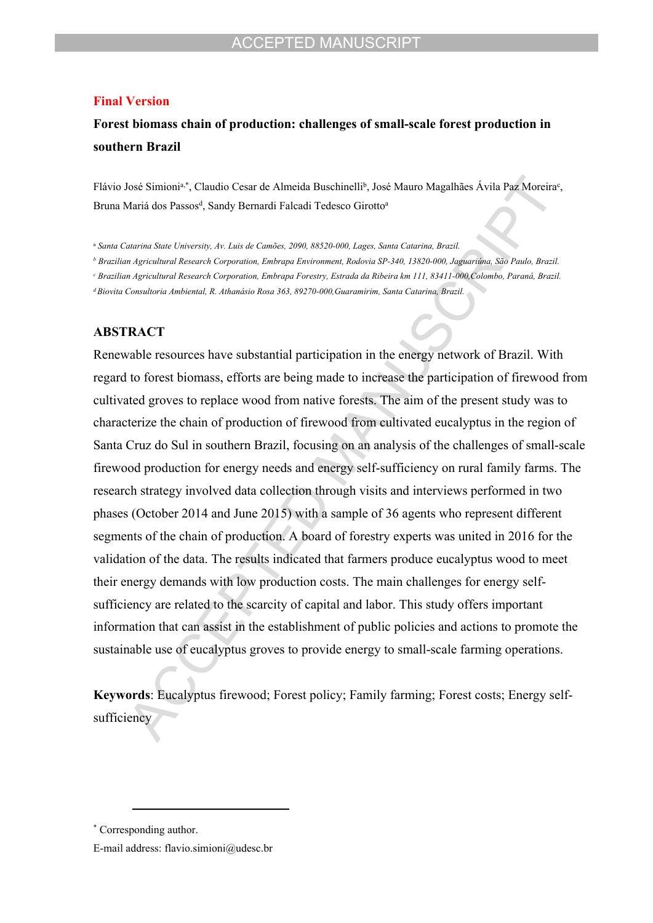#### **Final Version**

## **Forest biomass chain of production: challenges of small-scale forest production in southern Brazil**

Flávio José Simioni<sup>a,\*</sup>, Claudio Cesar de Almeida Buschinelli<sup>b</sup>, José Mauro Magalhães Ávila Paz Moreira<sup>c</sup>, Bruna Mariá dos Passos<sup>d</sup>, Sandy Bernardi Falcadi Tedesco Girotto<sup>a</sup>

<sup>a</sup> *Santa Catarina State University, Av. Luis de Camões, 2090, 88520-000, Lages, Santa Catarina, Brazil.*

*b Brazilian Agricultural Research Corporation, Embrapa Environment, Rodovia SP-340, 13820-000, Jaguariúna, São Paulo, Brazil.*

*c Brazilian Agricultural Research Corporation, Embrapa Forestry, Estrada da Ribeira km 111, 83411-000,Colombo, Paraná, Brazil.*

*<sup>d</sup>Biovita Consultoria Ambiental, R. Athanásio Rosa 363, 89270-000,Guaramirim, Santa Catarina, Brazil.*

### **ABSTRACT**

Renewable resources have substantial participation in the energy network of Brazil. With regard to forest biomass, efforts are being made to increase the participation of firewood from cultivated groves to replace wood from native forests. The aim of the present study was to characterize the chain of production of firewood from cultivated eucalyptus in the region of Santa Cruz do Sul in southern Brazil, focusing on an analysis of the challenges of small-scale firewood production for energy needs and energy self-sufficiency on rural family farms. The research strategy involved data collection through visits and interviews performed in two phases (October 2014 and June 2015) with a sample of 36 agents who represent different segments of the chain of production. A board of forestry experts was united in 2016 for the validation of the data. The results indicated that farmers produce eucalyptus wood to meet their energy demands with low production costs. The main challenges for energy selfsufficiency are related to the scarcity of capital and labor. This study offers important information that can assist in the establishment of public policies and actions to promote the sustainable use of eucalyptus groves to provide energy to small-scale farming operations.

**Keywords**: Eucalyptus firewood; Forest policy; Family farming; Forest costs; Energy selfsufficiency

<sup>\*</sup> Corresponding author.

E-mail address: flavio.simioni@udesc.br